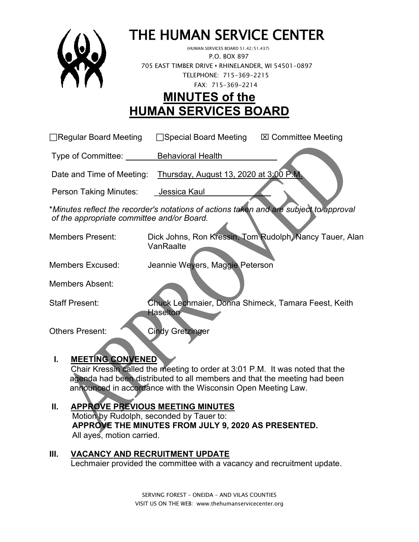

# THE HUMAN SERVICE CENTER (HUMAN SERVICES BOARD 51.42/51.437)

 P.O. BOX 897 705 EAST TIMBER DRIVE **•** RHINELANDER, WI 54501-0897 TELEPHONE: 715-369-2215 FAX: 715-369-2214

# **MINUTES of the HUMAN SERVICES BOARD**

 $\Box$ Regular Board Meeting  $\Box$ Special Board Meeting  $\Box$  Committee Meeting

Type of Committee: Behavioral Health

Date and Time of Meeting: Thursday, August 13, 2020 at 3:00 P.M.

Person Taking Minutes: Jessica Kaul

\**Minutes reflect the recorder's notations of actions taken and are subject to approval of the appropriate committee and/or Board.*

Members Present: Dick Johns, Ron Kressin, Tom Rudolph, Nancy Tauer, Alan VanRaalte

Members Excused: Jeannie Weyers, Maggie Peterson

Members Absent:

Staff Present: Chuck Lechmaier, Donna Shimeck, Tamara Feest, Keith **Haselton** 

Others Present: Cindy Gretzinger

# **I. MEETING CONVENED**

Chair Kressin called the meeting to order at 3:01 P.M. It was noted that the agenda had been distributed to all members and that the meeting had been announced in accordance with the Wisconsin Open Meeting Law.

#### **II. APPROVE PREVIOUS MEETING MINUTES**  Motion by Rudolph, seconded by Tauer to:  **APPROVE THE MINUTES FROM JULY 9, 2020 AS PRESENTED.** All ayes, motion carried.

#### **III. VACANCY AND RECRUITMENT UPDATE** Lechmaier provided the committee with a vacancy and recruitment update.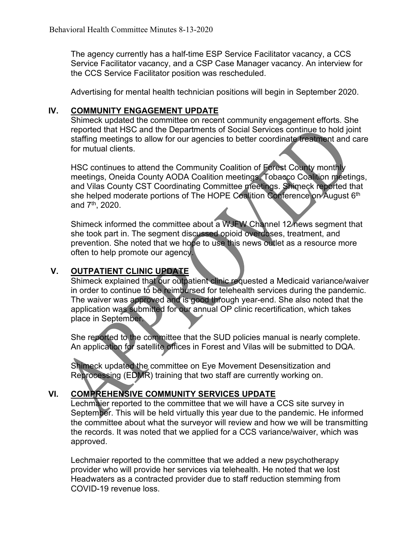The agency currently has a half-time ESP Service Facilitator vacancy, a CCS Service Facilitator vacancy, and a CSP Case Manager vacancy. An interview for the CCS Service Facilitator position was rescheduled.

Advertising for mental health technician positions will begin in September 2020.

#### **IV. COMMUNITY ENGAGEMENT UPDATE**

Shimeck updated the committee on recent community engagement efforts. She reported that HSC and the Departments of Social Services continue to hold joint staffing meetings to allow for our agencies to better coordinate treatment and care for mutual clients.

HSC continues to attend the Community Coalition of Forest County monthly meetings, Oneida County AODA Coalition meetings, Tobacco Coalition meetings, and Vilas County CST Coordinating Committee meetings. Shimeck reported that she helped moderate portions of The HOPE Coalition Conference on August 6<sup>th</sup> and  $7<sup>th</sup>$ , 2020.

Shimeck informed the committee about a WJFW Channel 12 news segment that she took part in. The segment discussed opioid overdoses, treatment, and prevention. She noted that we hope to use this news outlet as a resource more often to help promote our agency.

### **V. OUTPATIENT CLINIC UPDATE**

Shimeck explained that our outpatient clinic requested a Medicaid variance/waiver in order to continue to be reimbursed for telehealth services during the pandemic. The waiver was approved and is good through year-end. She also noted that the application was submitted for our annual OP clinic recertification, which takes place in September.

She reported to the committee that the SUD policies manual is nearly complete. An application for satellite offices in Forest and Vilas will be submitted to DQA.

Shimeck updated the committee on Eye Movement Desensitization and Reprocessing (EDMR) training that two staff are currently working on.

# **VI. COMPREHENSIVE COMMUNITY SERVICES UPDATE**

Lechmaier reported to the committee that we will have a CCS site survey in September. This will be held virtually this year due to the pandemic. He informed the committee about what the surveyor will review and how we will be transmitting the records. It was noted that we applied for a CCS variance/waiver, which was approved.

Lechmaier reported to the committee that we added a new psychotherapy provider who will provide her services via telehealth. He noted that we lost Headwaters as a contracted provider due to staff reduction stemming from COVID-19 revenue loss.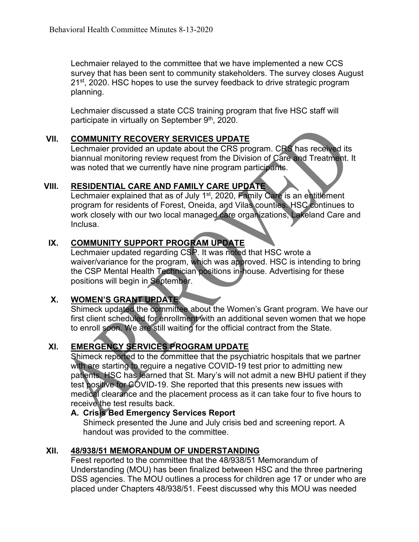Lechmaier relayed to the committee that we have implemented a new CCS survey that has been sent to community stakeholders. The survey closes August 21<sup>st</sup>, 2020. HSC hopes to use the survey feedback to drive strategic program planning.

Lechmaier discussed a state CCS training program that five HSC staff will participate in virtually on September 9<sup>th</sup>, 2020.

#### **VII. COMMUNITY RECOVERY SERVICES UPDATE**

Lechmaier provided an update about the CRS program. CRS has received its biannual monitoring review request from the Division of Care and Treatment. It was noted that we currently have nine program participants.

#### **VIII. RESIDENTIAL CARE AND FAMILY CARE UPDATE**

Lechmaier explained that as of July 1<sup>st</sup>, 2020, Family Care is an entitlement program for residents of Forest, Oneida, and Vilas counties. HSC continues to work closely with our two local managed care organizations, Lakeland Care and Inclusa.

## **IX. COMMUNITY SUPPORT PROGRAM UPDATE**

Lechmaier updated regarding CSP. It was noted that HSC wrote a waiver/variance for the program, which was approved. HSC is intending to bring the CSP Mental Health Technician positions in-house. Advertising for these positions will begin in September.

#### **X. WOMEN'S GRANT UPDATE**

Shimeck updated the committee about the Women's Grant program. We have our first client scheduled for enrollment with an additional seven women that we hope to enroll soon. We are still waiting for the official contract from the State.

# **XI. EMERGENCY SERVICES PROGRAM UPDATE**

Shimeck reported to the committee that the psychiatric hospitals that we partner with are starting to require a negative COVID-19 test prior to admitting new patients. HSC has learned that St. Mary's will not admit a new BHU patient if they test positive for COVID-19. She reported that this presents new issues with medical clearance and the placement process as it can take four to five hours to receive the test results back.

#### **A. Crisis Bed Emergency Services Report**

Shimeck presented the June and July crisis bed and screening report. A handout was provided to the committee.

#### **XII. 48/938/51 MEMORANDUM OF UNDERSTANDING**

Feest reported to the committee that the 48/938/51 Memorandum of Understanding (MOU) has been finalized between HSC and the three partnering DSS agencies. The MOU outlines a process for children age 17 or under who are placed under Chapters 48/938/51. Feest discussed why this MOU was needed